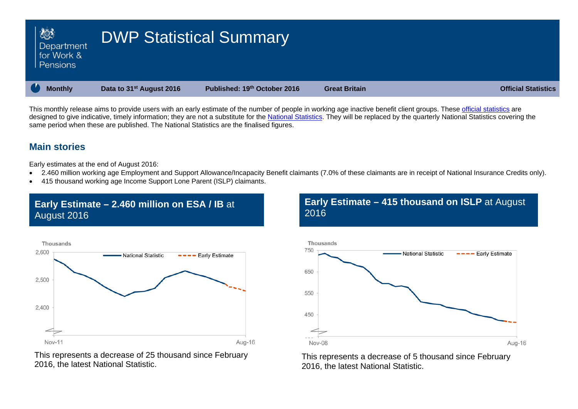| ■ 数<br>Department<br>for Work &<br>Pensions | <b>DWP Statistical Summary</b>       |                              |                      |                            |
|---------------------------------------------|--------------------------------------|------------------------------|----------------------|----------------------------|
| <b>Monthly</b>                              | Data to 31 <sup>st</sup> August 2016 | Published: 19th October 2016 | <b>Great Britain</b> | <b>Official Statistics</b> |

This monthly release aims to provide users with an early estimate of the number of people in working age inactive benefit client groups. These [official statistics](http://www.statisticsauthority.gov.uk/national-statistician/types-of-official-statistics) are designed to give indicative, timely information; they are not a substitute for the [National Statistics.](http://www.statisticsauthority.gov.uk/national-statistician/types-of-official-statistics) They will be replaced by the quarterly National Statistics covering the same period when these are published. The National Statistics are the finalised figures.

## **Main stories**

Early estimates at the end of August 2016:

- 2.460 million working age Employment and Support Allowance/Incapacity Benefit claimants (7.0% of these claimants are in receipt of National Insurance Credits only).
- 415 thousand working age Income Support Lone Parent (ISLP) claimants.

## **Early Estimate – 2.460 million on ESA / IB** at August 2016



This represents a decrease of 25 thousand since February 2016, the latest National Statistic.

**Early Estimate – 415 thousand on ISLP** at August 2016



This represents a decrease of 5 thousand since February 2016, the latest National Statistic.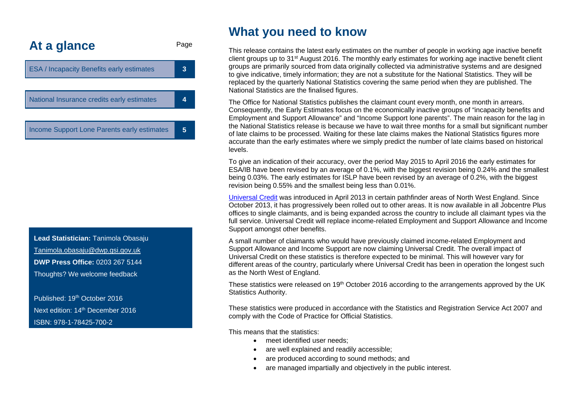<span id="page-1-0"></span>

**Lead Statistician:** Tanimola Obasaju Tanimola.obasaju@dwp.gsi.gov.uk **DWP Press Office:** 0203 267 5144 Thoughts? We welcome feedback

Published: 19th October 2016 Next edition: 14<sup>th</sup> December 2016 ISBN: 978-1-78425-700-2

## **What you need to know**

This release contains the latest early estimates on the number of people in working age inactive benefit client groups up to 31st August 2016. The monthly early estimates for working age inactive benefit client groups are primarily sourced from data originally collected via administrative systems and are designed to give indicative, timely information; they are not a substitute for the National Statistics. They will be replaced by the quarterly National Statistics covering the same period when they are published. The National Statistics are the finalised figures.

The Office for National Statistics publishes the claimant count every month, one month in arrears. Consequently, the Early Estimates focus on the economically inactive groups of "incapacity benefits and Employment and Support Allowance" and "Income Support lone parents". The main reason for the lag in the National Statistics release is because we have to wait three months for a small but significant number of late claims to be processed. Waiting for these late claims makes the National Statistics figures more accurate than the early estimates where we simply predict the number of late claims based on historical levels.

To give an indication of their accuracy, over the period May 2015 to April 2016 the early estimates for ESA/IB have been revised by an average of 0.1%, with the biggest revision being 0.24% and the smallest being 0.03%. The early estimates for ISLP have been revised by an average of 0.2%, with the biggest revision being 0.55% and the smallest being less than 0.01%.

[Universal Credit](https://www.gov.uk/government/collections/universal-credit-statistics) was introduced in April 2013 in certain pathfinder areas of North West England. Since October 2013, it has progressively been rolled out to other areas. It is now available in all Jobcentre Plus offices to single claimants, and is being expanded across the country to include all claimant types via the full service. Universal Credit will replace income-related Employment and Support Allowance and Income Support amongst other benefits.

A small number of claimants who would have previously claimed income-related Employment and Support Allowance and Income Support are now claiming Universal Credit. The overall impact of Universal Credit on these statistics is therefore expected to be minimal. This will however vary for different areas of the country, particularly where Universal Credit has been in operation the longest such as the North West of England.

These statistics were released on 19<sup>th</sup> October 2016 according to the arrangements approved by the UK Statistics Authority.

These statistics were produced in accordance with the Statistics and Registration Service Act 2007 and comply with the Code of Practice for Official Statistics.

This means that the statistics:

- meet identified user needs;
- are well explained and readily accessible:
- are produced according to sound methods; and
- are managed impartially and objectively in the public interest.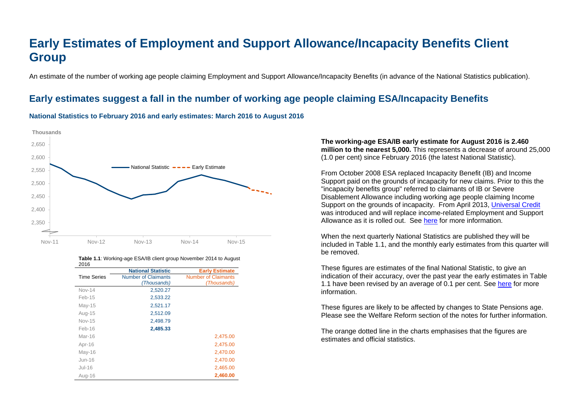# **Early Estimates of Employment and Support Allowance/Incapacity Benefits Client Group**

An estimate of the number of working age people claiming Employment and Support Allowance/Incapacity Benefits (in advance of the National Statistics publication).

## <span id="page-2-0"></span>**Early estimates suggest a fall in the number of working age people claiming ESA/Incapacity Benefits**

#### **National Statistics to February 2016 and early estimates: March 2016 to August 2016**



| 2016               |                            |                            |
|--------------------|----------------------------|----------------------------|
|                    | <b>National Statistic</b>  | <b>Early Estimate</b>      |
| <b>Time Series</b> | <b>Number of Claimants</b> | <b>Number of Claimants</b> |
|                    | (Thousands)                | (Thousands)                |
| <b>Nov-14</b>      | 2,520.27                   |                            |
| Feb-15             | 2,533.22                   |                            |
| $May-15$           | 2,521.17                   |                            |
| Aug-15             | 2,512.09                   |                            |
| <b>Nov-15</b>      | 2,498.79                   |                            |
| $Feb-16$           | 2,485.33                   |                            |
| Mar-16             |                            | 2,475.00                   |
| Apr-16             |                            | 2,475.00                   |
| $May-16$           |                            | 2,470.00                   |
| Jun-16             |                            | 2,470.00                   |
| Jul-16             |                            | 2,465.00                   |
| Aug-16             |                            | 2,460.00                   |

### **Table 1.1**: Working-age ESA/IB client group November 2014 to August

#### **The working-age ESA/IB early estimate for August 2016 is 2.460 million to the nearest 5,000.** This represents a decrease of around 25,000 (1.0 per cent) since February 2016 (the latest National Statistic).

From October 2008 ESA replaced Incapacity Benefit (IB) and Income Support paid on the grounds of incapacity for new claims. Prior to this the "incapacity benefits group" referred to claimants of IB or Severe Disablement Allowance including working age people claiming Income Support on the grounds of incapacity. From April 2013, [Universal Credit](https://www.gov.uk/government/collections/universal-credit-statistics) was introduced and will replace income-related Employment and Support Allowance as it is rolled out. See [here](#page-1-0) for more information.

When the next quarterly National Statistics are published they will be included in Table 1.1, and the monthly early estimates from this quarter will be removed.

These figures are estimates of the final National Statistic, to give an indication of their accuracy, over the past year the early estimates in Table 1.1 have been revised by an average of 0.1 per cent. See [here](https://www.gov.uk/government/uploads/system/uploads/attachment_data/file/204838/tech-doc-early-estimates-working-age-inactive.pdf) for more information.

These figures are likely to be affected by changes to State Pensions age. Please see the Welfare Reform section of the notes for further information.

The orange dotted line in the charts emphasises that the figures are estimates and official statistics.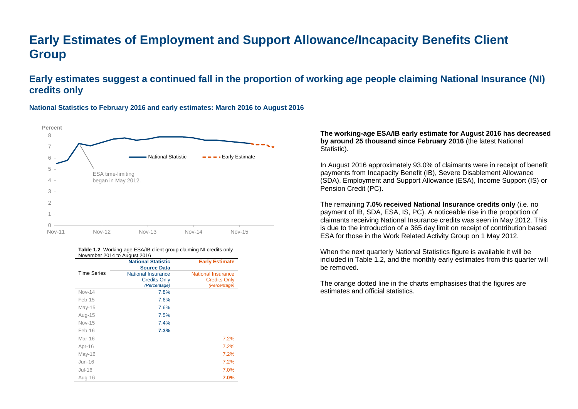# **Early Estimates of Employment and Support Allowance/Incapacity Benefits Client Group**

## **Early estimates suggest a continued fall in the proportion of working age people claiming National Insurance (NI) credits only**



#### **National Statistics to February 2016 and early estimates: March 2016 to August 2016**

#### **Table 1.2**: Working-age ESA/IB client group claiming NI credits only November 2014 to August 2016

|                    | <b>National Statistic</b> | <b>Early Estimate</b>     |
|--------------------|---------------------------|---------------------------|
|                    | <b>Source Data</b>        |                           |
| <b>Time Series</b> | <b>National Insurance</b> | <b>National Insurance</b> |
|                    | <b>Credits Only</b>       | <b>Credits Only</b>       |
|                    | (Percentage)              | (Percentage)              |
| <b>Nov-14</b>      | 7.8%                      |                           |
| Feb-15             | 7.6%                      |                           |
| $May-15$           | 7.6%                      |                           |
| Aug-15             | 7.5%                      |                           |
| Nov-15             | 7.4%                      |                           |
| Feb-16             | 7.3%                      |                           |
| Mar-16             |                           | 7.2%                      |
| Apr-16             |                           | 7.2%                      |
| $May-16$           |                           | 7.2%                      |
| $Jun-16$           |                           | 7.2%                      |
| $Jul-16$           |                           | 7.0%                      |
| Aug-16             |                           | 7.0%                      |

**The working-age ESA/IB early estimate for August 2016 has decreased by around 25 thousand since February 2016** (the latest National Statistic).

In August 2016 approximately 93.0% of claimants were in receipt of benefit payments from Incapacity Benefit (IB), Severe Disablement Allowance (SDA), Employment and Support Allowance (ESA), Income Support (IS) or Pension Credit (PC).

The remaining **7.0% received National Insurance credits only** (i.e. no payment of IB, SDA, ESA, IS, PC). A noticeable rise in the proportion of claimants receiving National Insurance credits was seen in May 2012. This is due to the introduction of a 365 day limit on receipt of contribution based ESA for those in the Work Related Activity Group on 1 May 2012.

When the next quarterly National Statistics figure is available it will be included in Table 1.2, and the monthly early estimates from this quarter will be removed.

The orange dotted line in the charts emphasises that the figures are estimates and official statistics.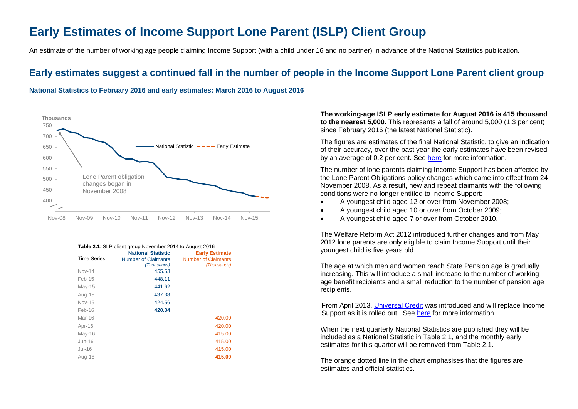# <span id="page-4-0"></span>**Early Estimates of Income Support Lone Parent (ISLP) Client Group**

An estimate of the number of working age people claiming Income Support (with a child under 16 and no partner) in advance of the National Statistics publication.

## **Early estimates suggest a continued fall in the number of people in the Income Support Lone Parent client group**

**National Statistics to February 2016 and early estimates: March 2016 to August 2016**



| Table 2.1: ISLP client group November 2014 to August 2016 |  |
|-----------------------------------------------------------|--|
|-----------------------------------------------------------|--|

|                    | <b>National Statistic</b>  | <b>Early Estimate</b>      |
|--------------------|----------------------------|----------------------------|
| <b>Time Series</b> | <b>Number of Claimants</b> | <b>Number of Claimants</b> |
|                    | (Thousands)                | (Thousands)                |
| <b>Nov-14</b>      | 455.53                     |                            |
| $Feb-15$           | 448.11                     |                            |
| $May-15$           | 441.62                     |                            |
| Aug-15             | 437.38                     |                            |
| Nov-15             | 424.56                     |                            |
| $Feb-16$           | 420.34                     |                            |
| Mar-16             |                            | 420.00                     |
| Apr-16             |                            | 420.00                     |
| $May-16$           |                            | 415.00                     |
| $Jun-16$           |                            | 415.00                     |
| $Jul-16$           |                            | 415.00                     |
| Aug-16             |                            | 415.00                     |

**The working-age ISLP early estimate for August 2016 is 415 thousand to the nearest 5,000.** This represents a fall of around 5,000 (1.3 per cent) since February 2016 (the latest National Statistic).

The figures are estimates of the final National Statistic, to give an indication of their accuracy, over the past year the early estimates have been revised by an average of 0.2 per cent. See [here](https://www.gov.uk/government/uploads/system/uploads/attachment_data/file/204838/tech-doc-early-estimates-working-age-inactive.pdf) for more information.

The number of lone parents claiming Income Support has been affected by the Lone Parent Obligations policy changes which came into effect from 24 November 2008. As a result, new and repeat claimants with the following conditions were no longer entitled to Income Support:

- A youngest child aged 12 or over from November 2008;
- A youngest child aged 10 or over from October 2009;
- A youngest child aged 7 or over from October 2010.

The Welfare Reform Act 2012 introduced further changes and from May 2012 lone parents are only eligible to claim Income Support until their youngest child is five years old.

The age at which men and women reach State Pension age is gradually increasing. This will introduce a small increase to the number of working age benefit recipients and a small reduction to the number of pension age recipients.

From April 2013, [Universal Credit](https://www.gov.uk/government/collections/universal-credit-statistics) was introduced and will replace Income Support as it is rolled out. See [here](#page-1-0) for more information.

When the next quarterly National Statistics are published they will be included as a National Statistic in Table 2.1, and the monthly early estimates for this quarter will be removed from Table 2.1.

The orange dotted line in the chart emphasises that the figures are estimates and official statistics.